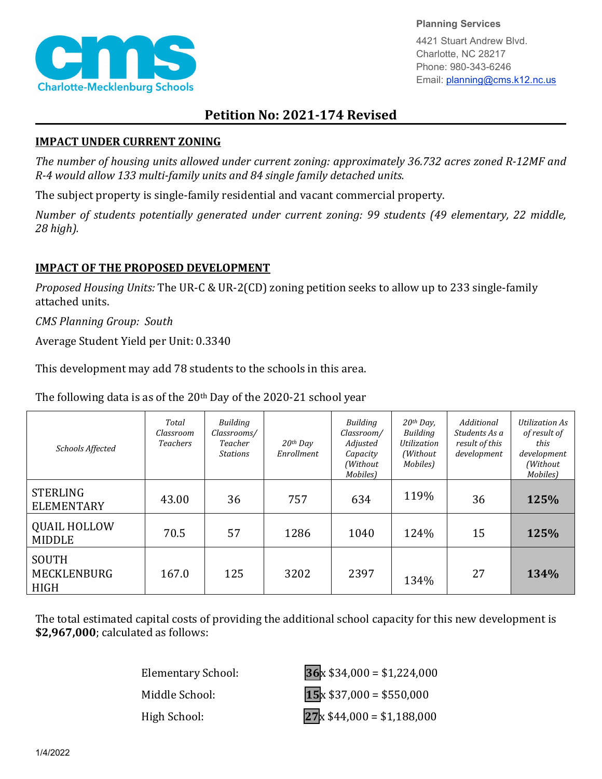

**Planning Services**

4421 Stuart Andrew Blvd. Charlotte, NC 28217 Phone: 980-343-6246 Email: planning@cms.k12.nc.us

## **Petition No: 2021-174 Revised**

## **IMPACT UNDER CURRENT ZONING**

*The number of housing units allowed under current zoning: approximately 36.732 acres zoned R-12MF and R-4 would allow 133 multi-family units and 84 single family detached units.*

The subject property is single-family residential and vacant commercial property.

*Number of students potentially generated under current zoning: 99 students (49 elementary, 22 middle, 28 high).*

## **IMPACT OF THE PROPOSED DEVELOPMENT**

*Proposed Housing Units:* The UR-C & UR-2(CD) zoning petition seeks to allow up to 233 single-family attached units.

*CMS Planning Group: South*

Average Student Yield per Unit: 0.3340

This development may add 78 students to the schools in this area.

The following data is as of the  $20<sup>th</sup>$  Day of the 2020-21 school year

| Schools Affected                                  | Total<br>Classroom<br><b>Teachers</b> | Building<br>Classrooms/<br>Teacher<br><b>Stations</b> | $20th$ Day<br>Enrollment | <b>Building</b><br>Classroom/<br>Adjusted<br>Capacity<br>(Without<br>Mobiles) | $20$ <sup>th</sup> Day,<br>Building<br><b>Utilization</b><br>(Without<br>Mobiles) | Additional<br>Students As a<br>result of this<br>development | <b>Utilization As</b><br>of result of<br>this<br>development<br>(Without<br>Mobiles) |
|---------------------------------------------------|---------------------------------------|-------------------------------------------------------|--------------------------|-------------------------------------------------------------------------------|-----------------------------------------------------------------------------------|--------------------------------------------------------------|--------------------------------------------------------------------------------------|
| <b>STERLING</b><br><b>ELEMENTARY</b>              | 43.00                                 | 36                                                    | 757                      | 634                                                                           | 119%                                                                              | 36                                                           | 125%                                                                                 |
| <b>QUAIL HOLLOW</b><br><b>MIDDLE</b>              | 70.5                                  | 57                                                    | 1286                     | 1040                                                                          | 124%                                                                              | 15                                                           | 125%                                                                                 |
| <b>SOUTH</b><br><b>MECKLENBURG</b><br><b>HIGH</b> | 167.0                                 | 125                                                   | 3202                     | 2397                                                                          | 134%                                                                              | 27                                                           | 134%                                                                                 |

The total estimated capital costs of providing the additional school capacity for this new development is **\$2,967,000**; calculated as follows:

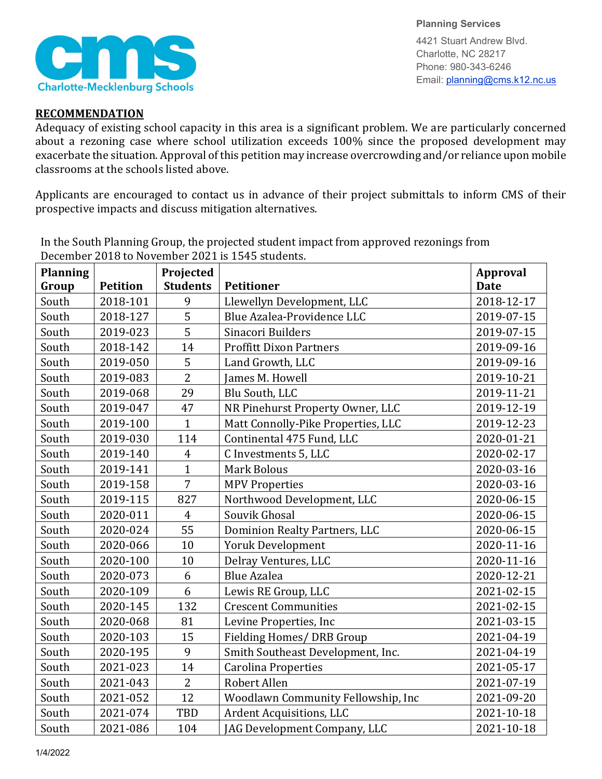

**Planning Services** 4421 Stuart Andrew Blvd. Charlotte, NC 28217

Phone: 980-343-6246 Email: planning@cms.k12.nc.us

## **RECOMMENDATION**

Adequacy of existing school capacity in this area is a significant problem. We are particularly concerned about a rezoning case where school utilization exceeds 100% since the proposed development may exacerbate the situation. Approval of this petition may increase overcrowding and/or reliance upon mobile classrooms at the schools listed above.

Applicants are encouraged to contact us in advance of their project submittals to inform CMS of their prospective impacts and discuss mitigation alternatives.

| <b>Planning</b> |                 | Projected       |                                      | <b>Approval</b> |
|-----------------|-----------------|-----------------|--------------------------------------|-----------------|
| Group           | <b>Petition</b> | <b>Students</b> | <b>Petitioner</b>                    | <b>Date</b>     |
| South           | 2018-101        | 9               | Llewellyn Development, LLC           | 2018-12-17      |
| South           | 2018-127        | 5               | Blue Azalea-Providence LLC           | 2019-07-15      |
| South           | 2019-023        | 5               | Sinacori Builders                    | 2019-07-15      |
| South           | 2018-142        | 14              | <b>Proffitt Dixon Partners</b>       | 2019-09-16      |
| South           | 2019-050        | 5               | Land Growth, LLC                     | 2019-09-16      |
| South           | 2019-083        | $\overline{2}$  | James M. Howell                      | 2019-10-21      |
| South           | 2019-068        | 29              | Blu South, LLC                       | 2019-11-21      |
| South           | 2019-047        | 47              | NR Pinehurst Property Owner, LLC     | 2019-12-19      |
| South           | 2019-100        | $\mathbf{1}$    | Matt Connolly-Pike Properties, LLC   | 2019-12-23      |
| South           | 2019-030        | 114             | Continental 475 Fund, LLC            | 2020-01-21      |
| South           | 2019-140        | $\overline{4}$  | C Investments 5, LLC                 | 2020-02-17      |
| South           | 2019-141        | $\mathbf{1}$    | <b>Mark Bolous</b>                   | 2020-03-16      |
| South           | 2019-158        | $\overline{7}$  | <b>MPV Properties</b>                | 2020-03-16      |
| South           | 2019-115        | 827             | Northwood Development, LLC           | 2020-06-15      |
| South           | 2020-011        | $\overline{4}$  | Souvik Ghosal                        | 2020-06-15      |
| South           | 2020-024        | 55              | <b>Dominion Realty Partners, LLC</b> | 2020-06-15      |
| South           | 2020-066        | 10              | Yoruk Development                    | 2020-11-16      |
| South           | 2020-100        | 10              | Delray Ventures, LLC                 | 2020-11-16      |
| South           | 2020-073        | 6               | <b>Blue Azalea</b>                   | 2020-12-21      |
| South           | 2020-109        | 6               | Lewis RE Group, LLC                  | 2021-02-15      |
| South           | 2020-145        | 132             | <b>Crescent Communities</b>          | 2021-02-15      |
| South           | 2020-068        | 81              | Levine Properties, Inc               | 2021-03-15      |
| South           | 2020-103        | 15              | Fielding Homes/ DRB Group            | 2021-04-19      |
| South           | 2020-195        | 9               | Smith Southeast Development, Inc.    | 2021-04-19      |
| South           | 2021-023        | 14              | <b>Carolina Properties</b>           | 2021-05-17      |
| South           | 2021-043        | $\overline{2}$  | Robert Allen                         | 2021-07-19      |
| South           | 2021-052        | 12              | Woodlawn Community Fellowship, Inc   | 2021-09-20      |
| South           | 2021-074        | TBD             | Ardent Acquisitions, LLC             | 2021-10-18      |
| South           | 2021-086        | 104             | JAG Development Company, LLC         | 2021-10-18      |

In the South Planning Group, the projected student impact from approved rezonings from December 2018 to November 2021 is 1545 students.